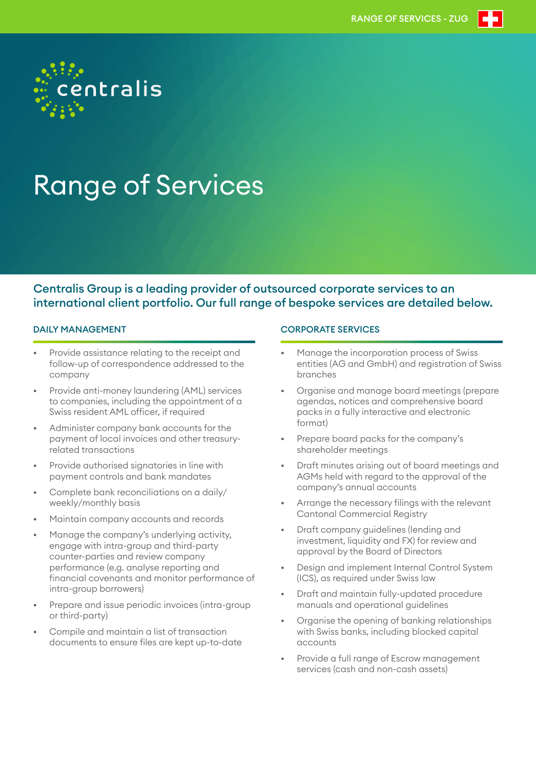

# Range of Services

## Centralis Group is a leading provider of outsourced corporate services to an international client portfolio. Our full range of bespoke services are detailed below.

## DAILY MANAGEMENT

- Provide assistance relating to the receipt and follow-up of correspondence addressed to the company
- Provide anti-money laundering (AML) services to companies, including the appointment of a Swiss resident AML officer, if required
- Administer company bank accounts for the payment of local invoices and other treasuryrelated transactions
- Provide authorised signatories in line with payment controls and bank mandates
- Complete bank reconciliations on a daily/ weekly/monthly basis
- Maintain company accounts and records
- Manage the company's underlying activity, engage with intra-group and third-party counter-parties and review company performance (e.g. analyse reporting and financial covenants and monitor performance of intra-group borrowers)
- Prepare and issue periodic invoices (intra-group or third-party)
- Compile and maintain a list of transaction documents to ensure files are kept up-to-date

## CORPORATE SERVICES

- Manage the incorporation process of Swiss entities (AG and GmbH) and registration of Swiss branches
- Organise and manage board meetings (prepare agendas, notices and comprehensive board packs in a fully interactive and electronic format)
- Prepare board packs for the company's shareholder meetings
- Draft minutes arising out of board meetings and AGMs held with regard to the approval of the company's annual accounts
- Arrange the necessary filings with the relevant Cantonal Commercial Registry
- Draft company guidelines (lending and investment, liquidity and FX) for review and approval by the Board of Directors
- Design and implement Internal Control System (ICS), as required under Swiss law
- Draft and maintain fully-updated procedure manuals and operational guidelines
- Organise the opening of banking relationships with Swiss banks, including blocked capital accounts
- Provide a full range of Escrow management services (cash and non-cash assets)